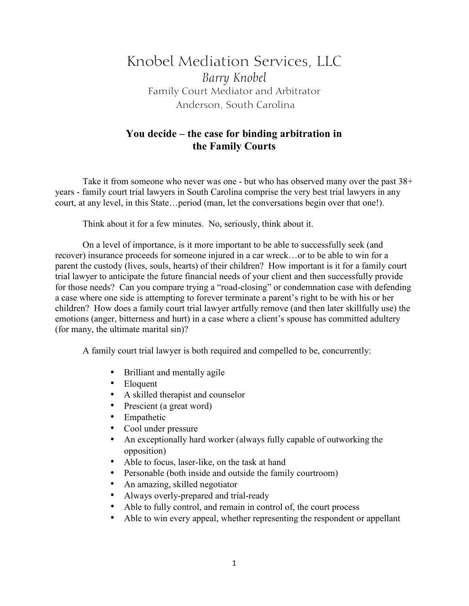## Knobel Mediation Services, LLC *Barry Knobel* Family Court Mediator and Arbitrator Anderson, South Carolina

## **You decide – the case for binding arbitration in the Family Courts**

Take it from someone who never was one - but who has observed many over the past 38+ years - family court trial lawyers in South Carolina comprise the very best trial lawyers in any court, at any level, in this State…period (man, let the conversations begin over that one!).

Think about it for a few minutes. No, seriously, think about it.

On a level of importance, is it more important to be able to successfully seek (and recover) insurance proceeds for someone injured in a car wreck…or to be able to win for a parent the custody (lives, souls, hearts) of their children? How important is it for a family court trial lawyer to anticipate the future financial needs of your client and then successfully provide for those needs? Can you compare trying a "road-closing" or condemnation case with defending a case where one side is attempting to forever terminate a parent's right to be with his or her children? How does a family court trial lawyer artfully remove (and then later skillfully use) the emotions (anger, bitterness and hurt) in a case where a client's spouse has committed adultery (for many, the ultimate marital sin)?

A family court trial lawyer is both required and compelled to be, concurrently:

- Brilliant and mentally agile<br>• Eloquent
- **Eloquent**
- A skilled therapist and counselor
- Prescient (a great word)
- Empathetic
- Cool under pressure
- An exceptionally hard worker (always fully capable of outworking the opposition)
- Able to focus, laser-like, on the task at hand
- Personable (both inside and outside the family courtroom)
- An amazing, skilled negotiator
- Always overly-prepared and trial-ready
- Able to fully control, and remain in control of, the court process
- Able to win every appeal, whether representing the respondent or appellant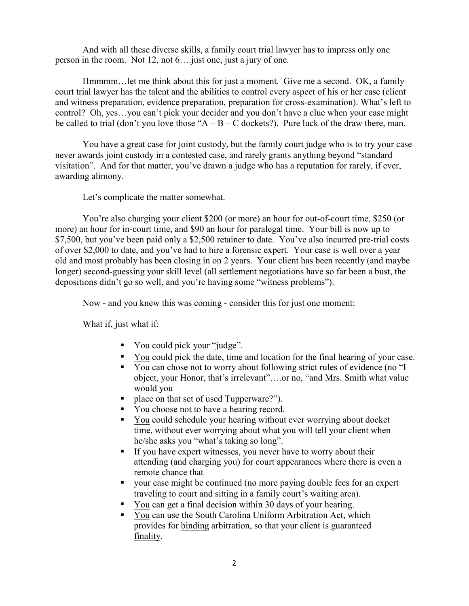And with all these diverse skills, a family court trial lawyer has to impress only one person in the room. Not 12, not 6….just one, just a jury of one.

Hmmmm…let me think about this for just a moment. Give me a second. OK, a family court trial lawyer has the talent and the abilities to control every aspect of his or her case (client and witness preparation, evidence preparation, preparation for cross-examination). What's left to control? Oh, yes…you can't pick your decider and you don't have a clue when your case might be called to trial (don't you love those " $A - B - C$  dockets?). Pure luck of the draw there, man.

You have a great case for joint custody, but the family court judge who is to try your case never awards joint custody in a contested case, and rarely grants anything beyond "standard visitation". And for that matter, you've drawn a judge who has a reputation for rarely, if ever, awarding alimony.

Let's complicate the matter somewhat.

You're also charging your client \$200 (or more) an hour for out-of-court time, \$250 (or more) an hour for in-court time, and \$90 an hour for paralegal time. Your bill is now up to \$7,500, but you've been paid only a \$2,500 retainer to date. You've also incurred pre-trial costs of over \$2,000 to date, and you've had to hire a forensic expert. Your case is well over a year old and most probably has been closing in on 2 years. Your client has been recently (and maybe longer) second-guessing your skill level (all settlement negotiations have so far been a bust, the depositions didn't go so well, and you're having some "witness problems").

Now - and you knew this was coming - consider this for just one moment:

What if, just what if:

- ! You could pick your "judge".
- ! You could pick the date, time and location for the final hearing of your case.
- ! You can chose not to worry about following strict rules of evidence (no "I object, your Honor, that's irrelevant"….or no, "and Mrs. Smith what value would you
- place on that set of used Tupperware?").
- ! You choose not to have a hearing record.
- ! You could schedule your hearing without ever worrying about docket time, without ever worrying about what you will tell your client when he/she asks you "what's taking so long".
- ! If you have expert witnesses, you never have to worry about their attending (and charging you) for court appearances where there is even a remote chance that
- ! your case might be continued (no more paying double fees for an expert traveling to court and sitting in a family court's waiting area).
- ! You can get a final decision within 30 days of your hearing.
- ! You can use the South Carolina Uniform Arbitration Act, which provides for binding arbitration, so that your client is guaranteed finality.